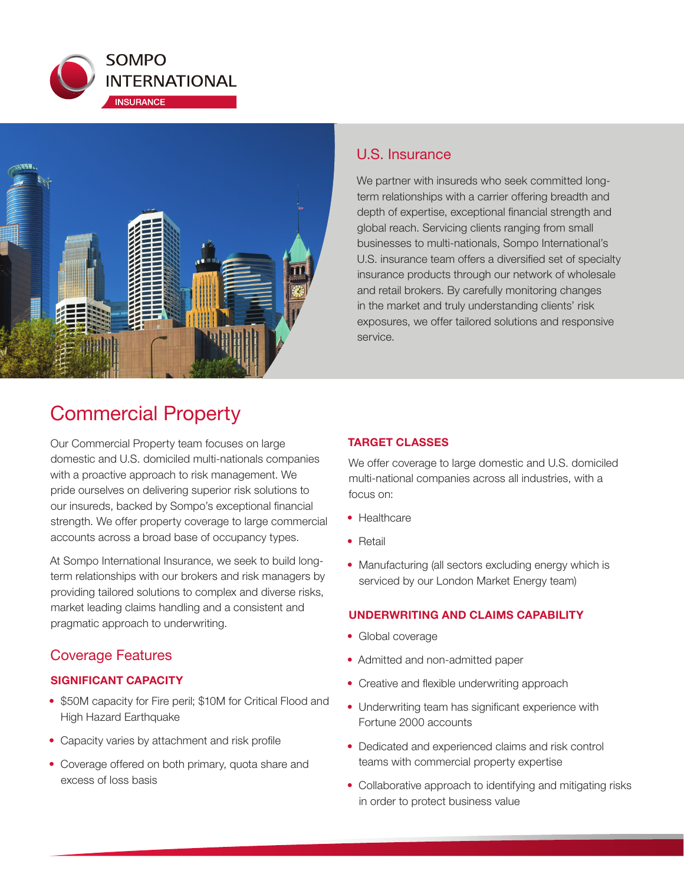



# Commercial Property

Our Commercial Property team focuses on large domestic and U.S. domiciled multi-nationals companies with a proactive approach to risk management. We pride ourselves on delivering superior risk solutions to our insureds, backed by Sompo's exceptional financial strength. We offer property coverage to large commercial accounts across a broad base of occupancy types.

At Sompo International Insurance, we seek to build longterm relationships with our brokers and risk managers by providing tailored solutions to complex and diverse risks, market leading claims handling and a consistent and pragmatic approach to underwriting.

# Coverage Features

# **SIGNIFICANT CAPACITY**

- \$50M capacity for Fire peril; \$10M for Critical Flood and High Hazard Earthquake
- Capacity varies by attachment and risk profile
- Coverage offered on both primary, quota share and excess of loss basis

# U.S. Insurance

We partner with insureds who seek committed longterm relationships with a carrier offering breadth and depth of expertise, exceptional financial strength and global reach. Servicing clients ranging from small businesses to multi-nationals, Sompo International's U.S. insurance team offers a diversified set of specialty insurance products through our network of wholesale and retail brokers. By carefully monitoring changes in the market and truly understanding clients' risk exposures, we offer tailored solutions and responsive service.

# **TARGET CLASSES**

We offer coverage to large domestic and U.S. domiciled multi-national companies across all industries, with a focus on:

- Healthcare
- Retail
- Manufacturing (all sectors excluding energy which is serviced by our London Market Energy team)

## **UNDERWRITING AND CLAIMS CAPABILITY**

- Global coverage
- Admitted and non-admitted paper
- Creative and flexible underwriting approach
- Underwriting team has significant experience with Fortune 2000 accounts
- Dedicated and experienced claims and risk control teams with commercial property expertise
- Collaborative approach to identifying and mitigating risks in order to protect business value